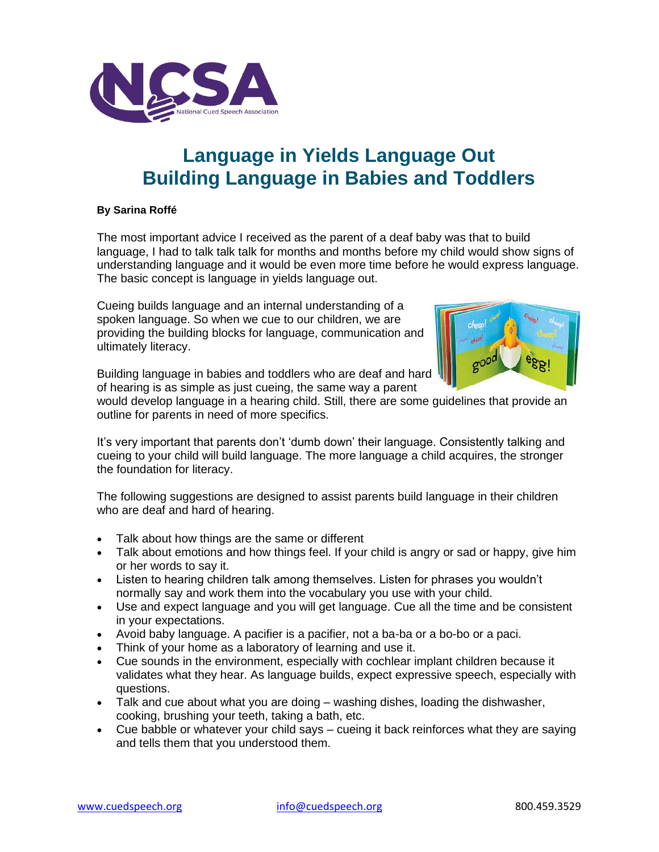

## **Language in Yields Language Out Building Language in Babies and Toddlers**

## **By Sarina Roffé**

The most important advice I received as the parent of a deaf baby was that to build language, I had to talk talk talk for months and months before my child would show signs of understanding language and it would be even more time before he would express language. The basic concept is language in yields language out.

Cueing builds language and an internal understanding of a spoken language. So when we cue to our children, we are providing the building blocks for language, communication and ultimately literacy.



Building language in babies and toddlers who are deaf and hard of hearing is as simple as just cueing, the same way a parent

would develop language in a hearing child. Still, there are some guidelines that provide an outline for parents in need of more specifics.

It's very important that parents don't 'dumb down' their language. Consistently talking and cueing to your child will build language. The more language a child acquires, the stronger the foundation for literacy.

The following suggestions are designed to assist parents build language in their children who are deaf and hard of hearing.

- Talk about how things are the same or different
- Talk about emotions and how things feel. If your child is angry or sad or happy, give him or her words to say it.
- Listen to hearing children talk among themselves. Listen for phrases you wouldn't normally say and work them into the vocabulary you use with your child.
- Use and expect language and you will get language. Cue all the time and be consistent in your expectations.
- Avoid baby language. A pacifier is a pacifier, not a ba-ba or a bo-bo or a paci.
- Think of your home as a laboratory of learning and use it.
- Cue sounds in the environment, especially with cochlear implant children because it validates what they hear. As language builds, expect expressive speech, especially with questions.
- Talk and cue about what you are doing washing dishes, loading the dishwasher, cooking, brushing your teeth, taking a bath, etc.
- Cue babble or whatever your child says cueing it back reinforces what they are saying and tells them that you understood them.